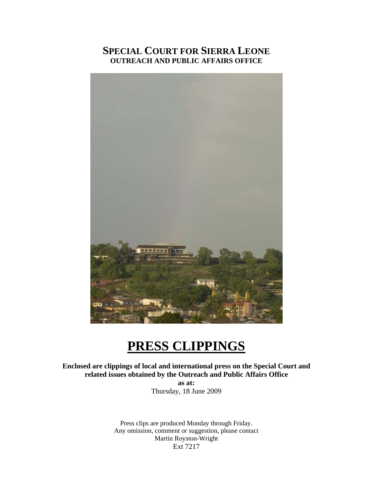# **SPECIAL COURT FOR SIERRA LEONE OUTREACH AND PUBLIC AFFAIRS OFFICE**



# **PRESS CLIPPINGS**

**Enclosed are clippings of local and international press on the Special Court and related issues obtained by the Outreach and Public Affairs Office as at:** 

Thursday, 18 June 2009

Press clips are produced Monday through Friday. Any omission, comment or suggestion, please contact Martin Royston-Wright Ext 7217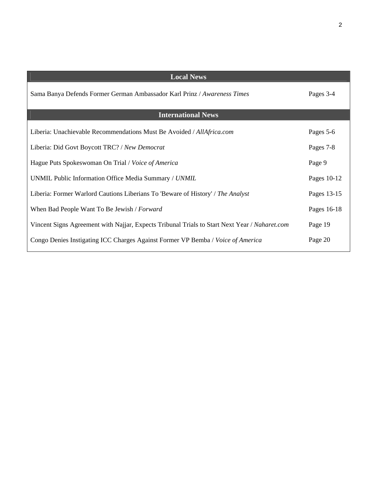| <b>Local News</b>                                                                             |             |
|-----------------------------------------------------------------------------------------------|-------------|
| Sama Banya Defends Former German Ambassador Karl Prinz / Awareness Times                      | Pages 3-4   |
| <b>International News</b>                                                                     |             |
| Liberia: Unachievable Recommendations Must Be Avoided / AllAfrica.com                         | Pages 5-6   |
| Liberia: Did Govt Boycott TRC? / New Democrat                                                 | Pages 7-8   |
| Hague Puts Spokeswoman On Trial / Voice of America                                            | Page 9      |
| UNMIL Public Information Office Media Summary / UNMIL                                         | Pages 10-12 |
| Liberia: Former Warlord Cautions Liberians To 'Beware of History' / The Analyst               | Pages 13-15 |
| When Bad People Want To Be Jewish / Forward                                                   | Pages 16-18 |
| Vincent Signs Agreement with Najjar, Expects Tribunal Trials to Start Next Year / Naharet.com | Page 19     |
| Congo Denies Instigating ICC Charges Against Former VP Bemba / Voice of America               | Page 20     |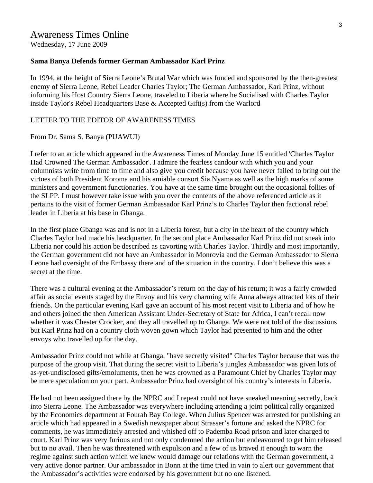Wednesday, 17 June 2009

#### **Sama Banya Defends former German Ambassador Karl Prinz**

In 1994, at the height of Sierra Leone's Brutal War which was funded and sponsored by the then-greatest enemy of Sierra Leone, Rebel Leader Charles Taylor; The German Ambassador, Karl Prinz, without informing his Host Country Sierra Leone, traveled to Liberia where he Socialised with Charles Taylor inside Taylor's Rebel Headquarters Base & Accepted Gift(s) from the Warlord

#### LETTER TO THE EDITOR OF AWARENESS TIMES

From Dr. Sama S. Banya (PUAWUI)

I refer to an article which appeared in the Awareness Times of Monday June 15 entitled 'Charles Taylor Had Crowned The German Ambassador'. I admire the fearless candour with which you and your columnists write from time to time and also give you credit because you have never failed to bring out the virtues of both President Koroma and his amiable consort Sia Nyama as well as the high marks of some ministers and government functionaries. You have at the same time brought out the occasional follies of the SLPP. I must however take issue with you over the contents of the above referenced article as it pertains to the visit of former German Ambassador Karl Prinz's to Charles Taylor then factional rebel leader in Liberia at his base in Gbanga.

In the first place Gbanga was and is not in a Liberia forest, but a city in the heart of the country which Charles Taylor had made his headquarter. In the second place Ambassador Karl Prinz did not sneak into Liberia nor could his action be described as cavorting with Charles Taylor. Thirdly and most importantly, the German government did not have an Ambassador in Monrovia and the German Ambassador to Sierra Leone had oversight of the Embassy there and of the situation in the country. I don't believe this was a secret at the time.

There was a cultural evening at the Ambassador's return on the day of his return; it was a fairly crowded affair as social events staged by the Envoy and his very charming wife Anna always attracted lots of their friends. On the particular evening Karl gave an account of his most recent visit to Liberia and of how he and others joined the then American Assistant Under-Secretary of State for Africa, I can't recall now whether it was Chester Crocker, and they all travelled up to Gbanga. We were not told of the discussions but Karl Prinz had on a country cloth woven gown which Taylor had presented to him and the other envoys who travelled up for the day.

Ambassador Prinz could not while at Gbanga, "have secretly visited" Charles Taylor because that was the purpose of the group visit. That during the secret visit to Liberia's jungles Ambassador was given lots of as-yet-undisclosed gifts/emoluments, then he was crowned as a Paramount Chief by Charles Taylor may be mere speculation on your part. Ambassador Prinz had oversight of his country's interests in Liberia.

He had not been assigned there by the NPRC and I repeat could not have sneaked meaning secretly, back into Sierra Leone. The Ambassador was everywhere including attending a joint political rally organized by the Economics department at Fourah Bay College. When Julius Spencer was arrested for publishing an article which had appeared in a Swedish newspaper about Strasser's fortune and asked the NPRC for comments, he was immediately arrested and whished off to Pademba Road prison and later charged to court. Karl Prinz was very furious and not only condemned the action but endeavoured to get him released but to no avail. Then he was threatened with expulsion and a few of us braved it enough to warn the regime against such action which we knew would damage our relations with the German government, a very active donor partner. Our ambassador in Bonn at the time tried in vain to alert our government that the Ambassador's activities were endorsed by his government but no one listened.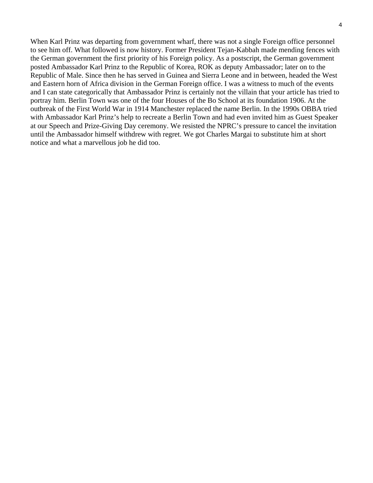When Karl Prinz was departing from government wharf, there was not a single Foreign office personnel to see him off. What followed is now history. Former President Tejan-Kabbah made mending fences with the German government the first priority of his Foreign policy. As a postscript, the German government posted Ambassador Karl Prinz to the Republic of Korea, ROK as deputy Ambassador; later on to the Republic of Male. Since then he has served in Guinea and Sierra Leone and in between, headed the West and Eastern horn of Africa division in the German Foreign office. I was a witness to much of the events and I can state categorically that Ambassador Prinz is certainly not the villain that your article has tried to portray him. Berlin Town was one of the four Houses of the Bo School at its foundation 1906. At the outbreak of the First World War in 1914 Manchester replaced the name Berlin. In the 1990s OBBA tried with Ambassador Karl Prinz's help to recreate a Berlin Town and had even invited him as Guest Speaker at our Speech and Prize-Giving Day ceremony. We resisted the NPRC's pressure to cancel the invitation until the Ambassador himself withdrew with regret. We got Charles Margai to substitute him at short notice and what a marvellous job he did too.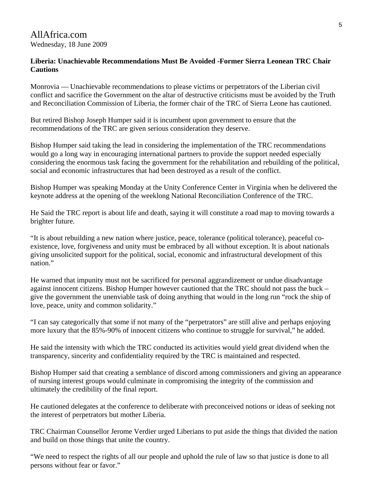# AllAfrica.com Wednesday, 18 June 2009

# **Liberia: Unachievable Recommendations Must Be Avoided -Former Sierra Leonean TRC Chair Cautions**

Monrovia — Unachievable recommendations to please victims or perpetrators of the Liberian civil conflict and sacrifice the Government on the altar of destructive criticisms must be avoided by the Truth and Reconciliation Commission of Liberia, the former chair of the TRC of Sierra Leone has cautioned.

But retired Bishop Joseph Humper said it is incumbent upon government to ensure that the recommendations of the TRC are given serious consideration they deserve.

Bishop Humper said taking the lead in considering the implementation of the TRC recommendations would go a long way in encouraging international partners to provide the support needed especially considering the enormous task facing the government for the rehabilitation and rebuilding of the political, social and economic infrastructures that had been destroyed as a result of the conflict.

Bishop Humper was speaking Monday at the Unity Conference Center in Virginia when he delivered the keynote address at the opening of the weeklong National Reconciliation Conference of the TRC.

He Said the TRC report is about life and death, saying it will constitute a road map to moving towards a brighter future.

"It is about rebuilding a new nation where justice, peace, tolerance (political tolerance), peaceful coexistence, love, forgiveness and unity must be embraced by all without exception. It is about nationals giving unsolicited support for the political, social, economic and infrastructural development of this nation."

He warned that impunity must not be sacrificed for personal aggrandizement or undue disadvantage against innocent citizens. Bishop Humper however cautioned that the TRC should not pass the buck – give the government the unenviable task of doing anything that would in the long run "rock the ship of love, peace, unity and common solidarity."

"I can say categorically that some if not many of the "perpetrators" are still alive and perhaps enjoying more luxury that the 85%-90% of innocent citizens who continue to struggle for survival," he added.

He said the intensity with which the TRC conducted its activities would yield great dividend when the transparency, sincerity and confidentiality required by the TRC is maintained and respected.

Bishop Humper said that creating a semblance of discord among commissioners and giving an appearance of nursing interest groups would culminate in compromising the integrity of the commission and ultimately the credibility of the final report.

He cautioned delegates at the conference to deliberate with preconceived notions or ideas of seeking not the interest of perpetrators but mother Liberia.

TRC Chairman Counsellor Jerome Verdier urged Liberians to put aside the things that divided the nation and build on those things that unite the country.

"We need to respect the rights of all our people and uphold the rule of law so that justice is done to all persons without fear or favor."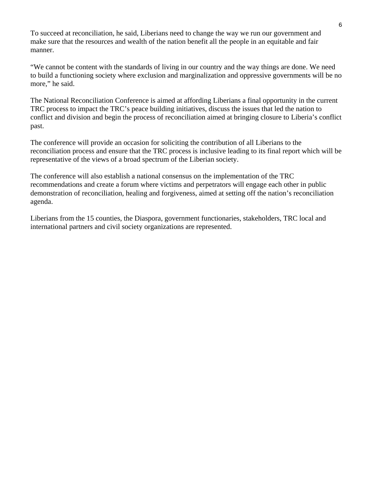To succeed at reconciliation, he said, Liberians need to change the way we run our government and make sure that the resources and wealth of the nation benefit all the people in an equitable and fair manner.

"We cannot be content with the standards of living in our country and the way things are done. We need to build a functioning society where exclusion and marginalization and oppressive governments will be no more," he said.

The National Reconciliation Conference is aimed at affording Liberians a final opportunity in the current TRC process to impact the TRC's peace building initiatives, discuss the issues that led the nation to conflict and division and begin the process of reconciliation aimed at bringing closure to Liberia's conflict past.

The conference will provide an occasion for soliciting the contribution of all Liberians to the reconciliation process and ensure that the TRC process is inclusive leading to its final report which will be representative of the views of a broad spectrum of the Liberian society.

The conference will also establish a national consensus on the implementation of the TRC recommendations and create a forum where victims and perpetrators will engage each other in public demonstration of reconciliation, healing and forgiveness, aimed at setting off the nation's reconciliation agenda.

Liberians from the 15 counties, the Diaspora, government functionaries, stakeholders, TRC local and international partners and civil society organizations are represented.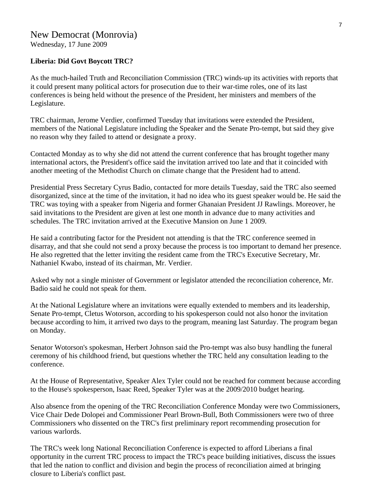Wednesday, 17 June 2009

# **Liberia: Did Govt Boycott TRC?**

As the much-hailed Truth and Reconciliation Commission (TRC) winds-up its activities with reports that it could present many political actors for prosecution due to their war-time roles, one of its last conferences is being held without the presence of the President, her ministers and members of the Legislature.

TRC chairman, Jerome Verdier, confirmed Tuesday that invitations were extended the President, members of the National Legislature including the Speaker and the Senate Pro-tempt, but said they give no reason why they failed to attend or designate a proxy.

Contacted Monday as to why she did not attend the current conference that has brought together many international actors, the President's office said the invitation arrived too late and that it coincided with another meeting of the Methodist Church on climate change that the President had to attend.

Presidential Press Secretary Cyrus Badio, contacted for more details Tuesday, said the TRC also seemed disorganized, since at the time of the invitation, it had no idea who its guest speaker would be. He said the TRC was toying with a speaker from Nigeria and former Ghanaian President JJ Rawlings. Moreover, he said invitations to the President are given at lest one month in advance due to many activities and schedules. The TRC invitation arrived at the Executive Mansion on June 1 2009.

He said a contributing factor for the President not attending is that the TRC conference seemed in disarray, and that she could not send a proxy because the process is too important to demand her presence. He also regretted that the letter inviting the resident came from the TRC's Executive Secretary, Mr. Nathaniel Kwabo, instead of its chairman, Mr. Verdier.

Asked why not a single minister of Government or legislator attended the reconciliation coherence, Mr. Badio said he could not speak for them.

At the National Legislature where an invitations were equally extended to members and its leadership, Senate Pro-tempt, Cletus Wotorson, according to his spokesperson could not also honor the invitation because according to him, it arrived two days to the program, meaning last Saturday. The program began on Monday.

Senator Wotorson's spokesman, Herbert Johnson said the Pro-tempt was also busy handling the funeral ceremony of his childhood friend, but questions whether the TRC held any consultation leading to the conference.

At the House of Representative, Speaker Alex Tyler could not be reached for comment because according to the House's spokesperson, Isaac Reed, Speaker Tyler was at the 2009/2010 budget hearing.

Also absence from the opening of the TRC Reconciliation Conference Monday were two Commissioners, Vice Chair Dede Dolopei and Commissioner Pearl Brown-Bull, Both Commissioners were two of three Commissioners who dissented on the TRC's first preliminary report recommending prosecution for various warlords.

The TRC's week long National Reconciliation Conference is expected to afford Liberians a final opportunity in the current TRC process to impact the TRC's peace building initiatives, discuss the issues that led the nation to conflict and division and begin the process of reconciliation aimed at bringing closure to Liberia's conflict past.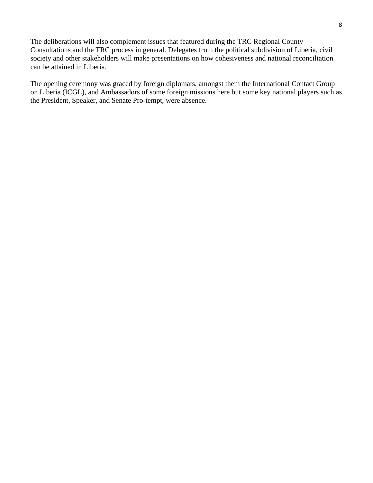The deliberations will also complement issues that featured during the TRC Regional County Consultations and the TRC process in general. Delegates from the political subdivision of Liberia, civil society and other stakeholders will make presentations on how cohesiveness and national reconciliation can be attained in Liberia.

The opening ceremony was graced by foreign diplomats, amongst them the International Contact Group on Liberia (ICGL), and Ambassadors of some foreign missions here but some key national players such as the President, Speaker, and Senate Pro-tempt, were absence.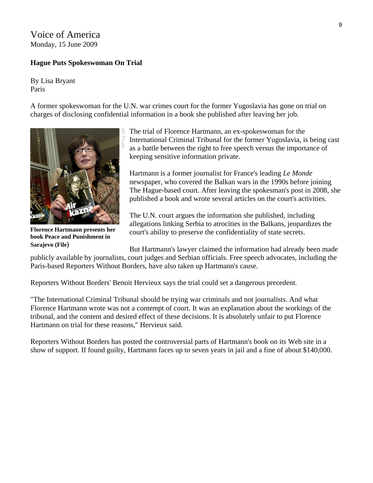# Voice of America Monday, 15 June 2009

# **Hague Puts Spokeswoman On Trial**

By Lisa Bryant Paris

A former spokeswoman for the U.N. war crimes court for the former Yugoslavia has gone on trial on charges of disclosing confidential information in a book she published after leaving her job.



**Florence Hartmann presents her book Peace and Punishment in Sarajevo (File)** 

The trial of Florence Hartmann, an ex-spokeswoman for the International Criminal Tribunal for the former Yugoslavia, is being cast as a battle between the right to free speech versus the importance of keeping sensitive information private.

Hartmann is a former journalist for France's leading *Le Monde* newspaper, who covered the Balkan wars in the 1990s before joining The Hague-based court. After leaving the spokesman's post in 2008, she published a book and wrote several articles on the court's activities.

The U.N. court argues the information she published, including allegations linking Serbia to atrocities in the Balkans, jeopardizes the court's ability to preserve the confidentiality of state secrets.

But Hartmann's lawyer claimed the information had already been made publicly available by journalists, court judges and Serbian officials. Free speech advocates, including the Paris-based Reporters Without Borders, have also taken up Hartmann's cause.

Reporters Without Borders' Benoit Hervieux says the trial could set a dangerous precedent.

"The International Criminal Tribunal should be trying war criminals and not journalists. And what Florence Hartmann wrote was not a contempt of court. It was an explanation about the workings of the tribunal, and the content and desired effect of these decisions. It is absolutely unfair to put Florence Hartmann on trial for these reasons," Hervieux said.

Reporters Without Borders has posted the controversial parts of Hartmann's book on its Web site in a show of support. If found guilty, Hartmann faces up to seven years in jail and a fine of about \$140,000.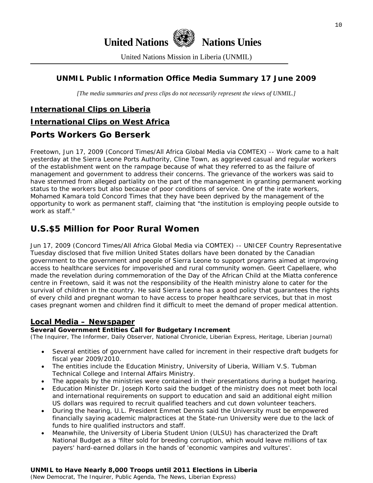

United Nations Mission in Liberia (UNMIL)

# **UNMIL Public Information Office Media Summary 17 June 2009**

*[The media summaries and press clips do not necessarily represent the views of UNMIL.]* 

# **International Clips on Liberia**

#### **International Clips on West Africa**

# **Ports Workers Go Berserk**

Freetown, Jun 17, 2009 (Concord Times/All Africa Global Media via COMTEX) -- Work came to a halt yesterday at the Sierra Leone Ports Authority, Cline Town, as aggrieved casual and regular workers of the establishment went on the rampage because of what they referred to as the failure of management and government to address their concerns. The grievance of the workers was said to have stemmed from alleged partiality on the part of the management in granting permanent working status to the workers but also because of poor conditions of service. One of the irate workers, Mohamed Kamara told Concord Times that they have been deprived by the management of the opportunity to work as permanent staff, claiming that "the institution is employing people outside to work as staff."

# **U.S.\$5 Million for Poor Rural Women**

Jun 17, 2009 (Concord Times/All Africa Global Media via COMTEX) -- UNICEF Country Representative Tuesday disclosed that five million United States dollars have been donated by the Canadian government to the government and people of Sierra Leone to support programs aimed at improving access to healthcare services for impoverished and rural community women. Geert Capellaere, who made the revelation during commemoration of the Day of the African Child at the Miatta conference centre in Freetown, said it was not the responsibility of the Health ministry alone to cater for the survival of children in the country. He said Sierra Leone has a good policy that guarantees the rights of every child and pregnant woman to have access to proper healthcare services, but that in most cases pregnant women and children find it difficult to meet the demand of proper medical attention.

# **Local Media – Newspaper**

#### **Several Government Entities Call for Budgetary Increment**

(The Inquirer, The Informer, Daily Observer, National Chronicle, Liberian Express, Heritage, Liberian Journal)

- Several entities of government have called for increment in their respective draft budgets for fiscal year 2009/2010.
- The entities include the Education Ministry, University of Liberia, William V.S. Tubman Technical College and Internal Affairs Ministry.
- The appeals by the ministries were contained in their presentations during a budget hearing.
- Education Minister Dr. Joseph Korto said the budget of the ministry does not meet both local and international requirements on support to education and said an additional eight million US dollars was required to recruit qualified teachers and cut down volunteer teachers.
- During the hearing, U.L. President Emmet Dennis said the University must be empowered financially saying academic malpractices at the State-run University were due to the lack of funds to hire qualified instructors and staff.
- Meanwhile, the University of Liberia Student Union (ULSU) has characterized the Draft National Budget as a 'filter sold for breeding corruption, which would leave millions of tax payers' hard-earned dollars in the hands of 'economic vampires and vultures'.

# **UNMIL to Have Nearly 8,000 Troops until 2011 Elections in Liberia**

(New Democrat, The Inquirer, Public Agenda, The News, Liberian Express)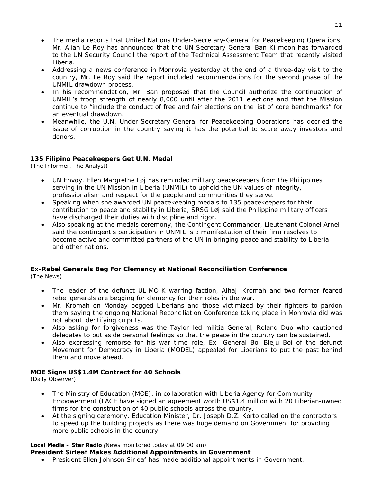- The media reports that United Nations Under-Secretary-General for Peacekeeping Operations, Mr. Alian Le Roy has announced that the UN Secretary-General Ban Ki-moon has forwarded to the UN Security Council the report of the Technical Assessment Team that recently visited Liberia.
- Addressing a news conference in Monrovia yesterday at the end of a three-day visit to the country, Mr. Le Roy said the report included recommendations for the second phase of the UNMIL drawdown process.
- In his recommendation, Mr. Ban proposed that the Council authorize the continuation of UNMIL's troop strength of nearly 8,000 until after the 2011 elections and that the Mission continue to "include the conduct of free and fair elections on the list of core benchmarks" for an eventual drawdown.
- Meanwhile, the U.N. Under-Secretary-General for Peacekeeping Operations has decried the issue of corruption in the country saying it has the potential to scare away investors and donors.

#### **135 Filipino Peacekeepers Get U.N. Medal**

(The Informer, The Analyst)

- UN Envoy, Ellen Margrethe Løj has reminded military peacekeepers from the Philippines serving in the UN Mission in Liberia (UNMIL) to uphold the UN values of integrity, professionalism and respect for the people and communities they serve.
- Speaking when she awarded UN peacekeeping medals to 135 peacekeepers for their contribution to peace and stability in Liberia, SRSG Løj said the Philippine military officers have discharged their duties with discipline and rigor.
- Also speaking at the medals ceremony, the Contingent Commander, Lieutenant Colonel Arnel said the contingent's participation in UNMIL is a manifestation of their firm resolves to become active and committed partners of the UN in bringing peace and stability to Liberia and other nations.

#### **Ex-Rebel Generals Beg For Clemency at National Reconciliation Conference**

(The News)

- The leader of the defunct ULIMO-K warring faction, Alhaji Kromah and two former feared rebel generals are begging for clemency for their roles in the war.
- Mr. Kromah on Monday begged Liberians and those victimized by their fighters to pardon them saying the ongoing National Reconciliation Conference taking place in Monrovia did was not about identifying culprits.
- Also asking for forgiveness was the Taylor–led militia General, Roland Duo who cautioned delegates to put aside personal feelings so that the peace in the country can be sustained.
- Also expressing remorse for his war time role, Ex- General Boi Bleju Boi of the defunct Movement for Democracy in Liberia (MODEL) appealed for Liberians to put the past behind them and move ahead.

#### **MOE Signs US\$1.4M Contract for 40 Schools**

(Daily Observer)

- The Ministry of Education (MOE), in collaboration with Liberia Agency for Community Empowerment (LACE have signed an agreement worth US\$1.4 million with 20 Liberian-owned firms for the construction of 40 public schools across the country.
- At the signing ceremony, Education Minister, Dr. Joseph D.Z. Korto called on the contractors to speed up the building projects as there was huge demand on Government for providing more public schools in the country.

#### **Local Media – Star Radio** *(News monitored today at 09:00 am)*

#### **President Sirleaf Makes Additional Appointments in Government**

• President Ellen Johnson Sirleaf has made additional appointments in Government.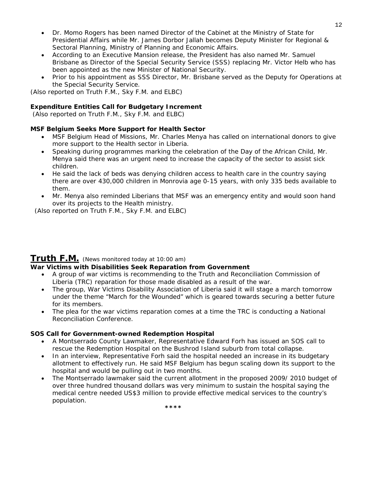- Dr. Momo Rogers has been named Director of the Cabinet at the Ministry of State for Presidential Affairs while Mr. James Dorbor Jallah becomes Deputy Minister for Regional & Sectoral Planning, Ministry of Planning and Economic Affairs.
- According to an Executive Mansion release, the President has also named Mr. Samuel Brisbane as Director of the Special Security Service (SSS) replacing Mr. Victor Helb who has been appointed as the new Minister of National Security.
- Prior to his appointment as SSS Director, Mr. Brisbane served as the Deputy for Operations at the Special Security Service.

*(Also reported on Truth F.M., Sky F.M. and ELBC*)

#### **Expenditure Entities Call for Budgetary Increment**

 *(Also reported on Truth F.M., Sky F.M. and ELBC*)

#### **MSF Belgium Seeks More Support for Health Sector**

- MSF Belgium Head of Missions, Mr. Charles Menya has called on international donors to give more support to the Health sector in Liberia.
- Speaking during programmes marking the celebration of the Day of the African Child, Mr. Menya said there was an urgent need to increase the capacity of the sector to assist sick children.
- He said the lack of beds was denying children access to health care in the country saying there are over 430,000 children in Monrovia age 0-15 years, with only 335 beds available to them.
- Mr. Menya also reminded Liberians that MSF was an emergency entity and would soon hand over its projects to the Health ministry.

*(Also reported on Truth F.M., Sky F.M. and ELBC*)

# **Truth F.M.** *(News monitored today at 10:00 am)*

#### **War Victims with Disabilities Seek Reparation from Government**

- A group of war victims is recommending to the Truth and Reconciliation Commission of Liberia (TRC) reparation for those made disabled as a result of the war.
- The group, War Victims Disability Association of Liberia said it will stage a march tomorrow under the theme "March for the Wounded" which is geared towards securing a better future for its members.
- The plea for the war victims reparation comes at a time the TRC is conducting a National Reconciliation Conference.

#### **SOS Call for Government-owned Redemption Hospital**

- A Montserrado County Lawmaker, Representative Edward Forh has issued an SOS call to rescue the Redemption Hospital on the Bushrod Island suburb from total collapse.
- In an interview, Representative Forh said the hospital needed an increase in its budgetary allotment to effectively run. He said MSF Belgium has begun scaling down its support to the hospital and would be pulling out in two months.
- The Montserrado lawmaker said the current allotment in the proposed 2009/ 2010 budget of over three hundred thousand dollars was very minimum to sustain the hospital saying the medical centre needed US\$3 million to provide effective medical services to the country's population.

**\*\*\*\***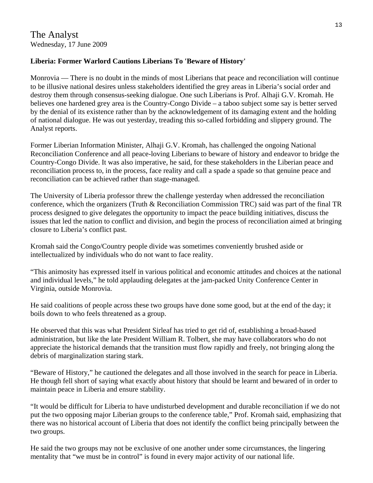# **Liberia: Former Warlord Cautions Liberians To 'Beware of History'**

Monrovia — There is no doubt in the minds of most Liberians that peace and reconciliation will continue to be illusive national desires unless stakeholders identified the grey areas in Liberia's social order and destroy them through consensus-seeking dialogue. One such Liberians is Prof. Alhaji G.V. Kromah. He believes one hardened grey area is the Country-Congo Divide – a taboo subject some say is better served by the denial of its existence rather than by the acknowledgement of its damaging extent and the holding of national dialogue. He was out yesterday, treading this so-called forbidding and slippery ground. The Analyst reports.

Former Liberian Information Minister, Alhaji G.V. Kromah, has challenged the ongoing National Reconciliation Conference and all peace-loving Liberians to beware of history and endeavor to bridge the Country-Congo Divide. It was also imperative, he said, for these stakeholders in the Liberian peace and reconciliation process to, in the process, face reality and call a spade a spade so that genuine peace and reconciliation can be achieved rather than stage-managed.

The University of Liberia professor threw the challenge yesterday when addressed the reconciliation conference, which the organizers (Truth & Reconciliation Commission TRC) said was part of the final TR process designed to give delegates the opportunity to impact the peace building initiatives, discuss the issues that led the nation to conflict and division, and begin the process of reconciliation aimed at bringing closure to Liberia's conflict past.

Kromah said the Congo/Country people divide was sometimes conveniently brushed aside or intellectualized by individuals who do not want to face reality.

"This animosity has expressed itself in various political and economic attitudes and choices at the national and individual levels," he told applauding delegates at the jam-packed Unity Conference Center in Virginia, outside Monrovia.

He said coalitions of people across these two groups have done some good, but at the end of the day; it boils down to who feels threatened as a group.

He observed that this was what President Sirleaf has tried to get rid of, establishing a broad-based administration, but like the late President William R. Tolbert, she may have collaborators who do not appreciate the historical demands that the transition must flow rapidly and freely, not bringing along the debris of marginalization staring stark.

"Beware of History," he cautioned the delegates and all those involved in the search for peace in Liberia. He though fell short of saying what exactly about history that should be learnt and bewared of in order to maintain peace in Liberia and ensure stability.

"It would be difficult for Liberia to have undisturbed development and durable reconciliation if we do not put the two opposing major Liberian groups to the conference table," Prof. Kromah said, emphasizing that there was no historical account of Liberia that does not identify the conflict being principally between the two groups.

He said the two groups may not be exclusive of one another under some circumstances, the lingering mentality that "we must be in control" is found in every major activity of our national life.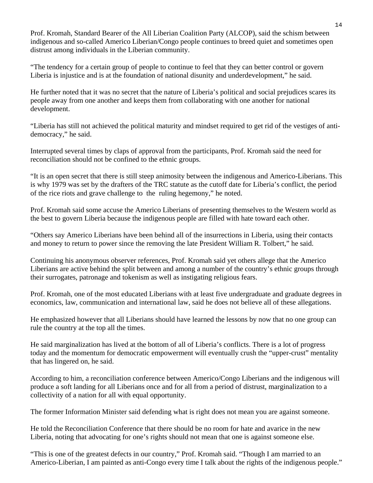Prof. Kromah, Standard Bearer of the All Liberian Coalition Party (ALCOP), said the schism between indigenous and so-called Americo Liberian/Congo people continues to breed quiet and sometimes open distrust among individuals in the Liberian community.

"The tendency for a certain group of people to continue to feel that they can better control or govern Liberia is injustice and is at the foundation of national disunity and underdevelopment," he said.

He further noted that it was no secret that the nature of Liberia's political and social prejudices scares its people away from one another and keeps them from collaborating with one another for national development.

"Liberia has still not achieved the political maturity and mindset required to get rid of the vestiges of antidemocracy," he said.

Interrupted several times by claps of approval from the participants, Prof. Kromah said the need for reconciliation should not be confined to the ethnic groups.

"It is an open secret that there is still steep animosity between the indigenous and Americo-Liberians. This is why 1979 was set by the drafters of the TRC statute as the cutoff date for Liberia's conflict, the period of the rice riots and grave challenge to the ruling hegemony," he noted.

Prof. Kromah said some accuse the Americo Liberians of presenting themselves to the Western world as the best to govern Liberia because the indigenous people are filled with hate toward each other.

"Others say Americo Liberians have been behind all of the insurrections in Liberia, using their contacts and money to return to power since the removing the late President William R. Tolbert," he said.

Continuing his anonymous observer references, Prof. Kromah said yet others allege that the Americo Liberians are active behind the split between and among a number of the country's ethnic groups through their surrogates, patronage and tokenism as well as instigating religious fears.

Prof. Kromah, one of the most educated Liberians with at least five undergraduate and graduate degrees in economics, law, communication and international law, said he does not believe all of these allegations.

He emphasized however that all Liberians should have learned the lessons by now that no one group can rule the country at the top all the times.

He said marginalization has lived at the bottom of all of Liberia's conflicts. There is a lot of progress today and the momentum for democratic empowerment will eventually crush the "upper-crust" mentality that has lingered on, he said.

According to him, a reconciliation conference between Americo/Congo Liberians and the indigenous will produce a soft landing for all Liberians once and for all from a period of distrust, marginalization to a collectivity of a nation for all with equal opportunity.

The former Information Minister said defending what is right does not mean you are against someone.

He told the Reconciliation Conference that there should be no room for hate and avarice in the new Liberia, noting that advocating for one's rights should not mean that one is against someone else.

"This is one of the greatest defects in our country," Prof. Kromah said. "Though I am married to an Americo-Liberian, I am painted as anti-Congo every time I talk about the rights of the indigenous people."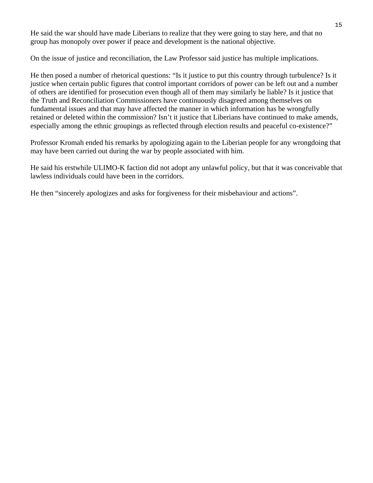He said the war should have made Liberians to realize that they were going to stay here, and that no group has monopoly over power if peace and development is the national objective.

On the issue of justice and reconciliation, the Law Professor said justice has multiple implications.

He then posed a number of rhetorical questions: "Is it justice to put this country through turbulence? Is it justice when certain public figures that control important corridors of power can be left out and a number of others are identified for prosecution even though all of them may similarly be liable? Is it justice that the Truth and Reconciliation Commissioners have continuously disagreed among themselves on fundamental issues and that may have affected the manner in which information has be wrongfully retained or deleted within the commission? Isn't it justice that Liberians have continued to make amends, especially among the ethnic groupings as reflected through election results and peaceful co-existence?"

Professor Kromah ended his remarks by apologizing again to the Liberian people for any wrongdoing that may have been carried out during the war by people associated with him.

He said his erstwhile ULIMO-K faction did not adopt any unlawful policy, but that it was conceivable that lawless individuals could have been in the corridors.

He then "sincerely apologizes and asks for forgiveness for their misbehaviour and actions".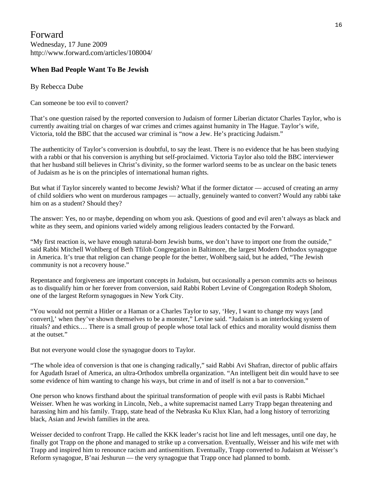Forward Wednesday, 17 June 2009 http://www.forward.com/articles/108004/

#### **When Bad People Want To Be Jewish**

#### By Rebecca Dube

Can someone be too evil to convert?

That's one question raised by the reported conversion to Judaism of former Liberian dictator Charles Taylor, who is currently awaiting trial on charges of war crimes and crimes against humanity in The Hague. Taylor's wife, Victoria, told the BBC that the accused war criminal is "now a Jew. He's practicing Judaism."

The authenticity of Taylor's conversion is doubtful, to say the least. There is no evidence that he has been studying with a rabbi or that his conversion is anything but self-proclaimed. Victoria Taylor also told the BBC interviewer that her husband still believes in Christ's divinity, so the former warlord seems to be as unclear on the basic tenets of Judaism as he is on the principles of international human rights.

But what if Taylor sincerely wanted to become Jewish? What if the former dictator — accused of creating an army of child soldiers who went on murderous rampages — actually, genuinely wanted to convert? Would any rabbi take him on as a student? Should they?

The answer: Yes, no or maybe, depending on whom you ask. Questions of good and evil aren't always as black and white as they seem, and opinions varied widely among religious leaders contacted by the Forward.

"My first reaction is, we have enough natural-born Jewish bums, we don't have to import one from the outside," said Rabbi Mitchell Wohlberg of Beth Tfiloh Congregation in Baltimore, the largest Modern Orthodox synagogue in America. It's true that religion can change people for the better, Wohlberg said, but he added, "The Jewish community is not a recovery house."

Repentance and forgiveness are important concepts in Judaism, but occasionally a person commits acts so heinous as to disqualify him or her forever from conversion, said Rabbi Robert Levine of Congregation Rodeph Sholom, one of the largest Reform synagogues in New York City.

"You would not permit a Hitler or a Haman or a Charles Taylor to say, 'Hey, I want to change my ways [and convert],' when they've shown themselves to be a monster," Levine said. "Judaism is an interlocking system of rituals? and ethics.… There is a small group of people whose total lack of ethics and morality would dismiss them at the outset."

But not everyone would close the synagogue doors to Taylor.

"The whole idea of conversion is that one is changing radically," said Rabbi Avi Shafran, director of public affairs for Agudath Israel of America, an ultra-Orthodox umbrella organization. "An intelligent beit din would have to see some evidence of him wanting to change his ways, but crime in and of itself is not a bar to conversion."

One person who knows firsthand about the spiritual transformation of people with evil pasts is Rabbi Michael Weisser. When he was working in Lincoln, Neb., a white supremacist named Larry Trapp began threatening and harassing him and his family. Trapp, state head of the Nebraska Ku Klux Klan, had a long history of terrorizing black, Asian and Jewish families in the area.

Weisser decided to confront Trapp. He called the KKK leader's racist hot line and left messages, until one day, he finally got Trapp on the phone and managed to strike up a conversation. Eventually, Weisser and his wife met with Trapp and inspired him to renounce racism and antisemitism. Eventually, Trapp converted to Judaism at Weisser's Reform synagogue, B'nai Jeshurun — the very synagogue that Trapp once had planned to bomb.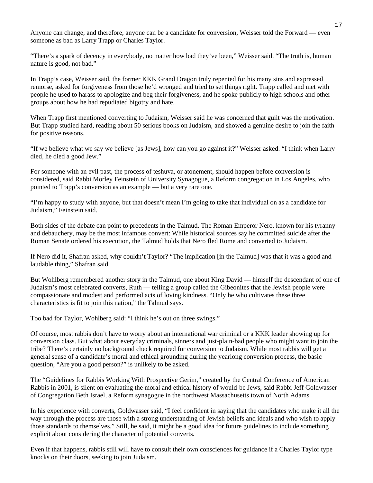Anyone can change, and therefore, anyone can be a candidate for conversion, Weisser told the Forward — even someone as bad as Larry Trapp or Charles Taylor.

"There's a spark of decency in everybody, no matter how bad they've been," Weisser said. "The truth is, human nature is good, not bad."

In Trapp's case, Weisser said, the former KKK Grand Dragon truly repented for his many sins and expressed remorse, asked for forgiveness from those he'd wronged and tried to set things right. Trapp called and met with people he used to harass to apologize and beg their forgiveness, and he spoke publicly to high schools and other groups about how he had repudiated bigotry and hate.

When Trapp first mentioned converting to Judaism, Weisser said he was concerned that guilt was the motivation. But Trapp studied hard, reading about 50 serious books on Judaism, and showed a genuine desire to join the faith for positive reasons.

"If we believe what we say we believe [as Jews], how can you go against it?" Weisser asked. "I think when Larry died, he died a good Jew."

For someone with an evil past, the process of teshuva, or atonement, should happen before conversion is considered, said Rabbi Morley Feinstein of University Synagogue, a Reform congregation in Los Angeles, who pointed to Trapp's conversion as an example — but a very rare one.

"I'm happy to study with anyone, but that doesn't mean I'm going to take that individual on as a candidate for Judaism," Feinstein said.

Both sides of the debate can point to precedents in the Talmud. The Roman Emperor Nero, known for his tyranny and debauchery, may be the most infamous convert: While historical sources say he committed suicide after the Roman Senate ordered his execution, the Talmud holds that Nero fled Rome and converted to Judaism.

If Nero did it, Shafran asked, why couldn't Taylor? "The implication [in the Talmud] was that it was a good and laudable thing," Shafran said.

But Wohlberg remembered another story in the Talmud, one about King David — himself the descendant of one of Judaism's most celebrated converts, Ruth — telling a group called the Gibeonites that the Jewish people were compassionate and modest and performed acts of loving kindness. "Only he who cultivates these three characteristics is fit to join this nation," the Talmud says.

Too bad for Taylor, Wohlberg said: "I think he's out on three swings."

Of course, most rabbis don't have to worry about an international war criminal or a KKK leader showing up for conversion class. But what about everyday criminals, sinners and just-plain-bad people who might want to join the tribe? There's certainly no background check required for conversion to Judaism. While most rabbis will get a general sense of a candidate's moral and ethical grounding during the yearlong conversion process, the basic question, "Are you a good person?" is unlikely to be asked.

The "Guidelines for Rabbis Working With Prospective Gerim," created by the Central Conference of American Rabbis in 2001, is silent on evaluating the moral and ethical history of would-be Jews, said Rabbi Jeff Goldwasser of Congregation Beth Israel, a Reform synagogue in the northwest Massachusetts town of North Adams.

In his experience with converts, Goldwasser said, "I feel confident in saying that the candidates who make it all the way through the process are those with a strong understanding of Jewish beliefs and ideals and who wish to apply those standards to themselves." Still, he said, it might be a good idea for future guidelines to include something explicit about considering the character of potential converts.

Even if that happens, rabbis still will have to consult their own consciences for guidance if a Charles Taylor type knocks on their doors, seeking to join Judaism.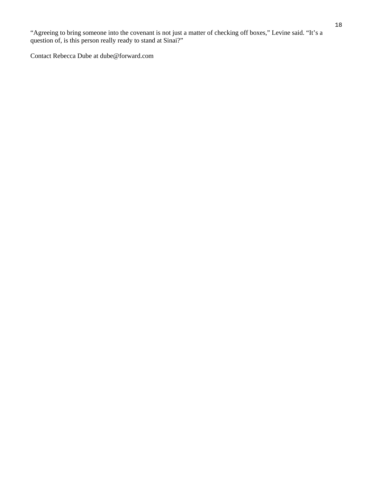"Agreeing to bring someone into the covenant is not just a matter of checking off boxes," Levine said. "It's a question of, is this person really ready to stand at Sinai?"

Contact Rebecca Dube at dube@forward.com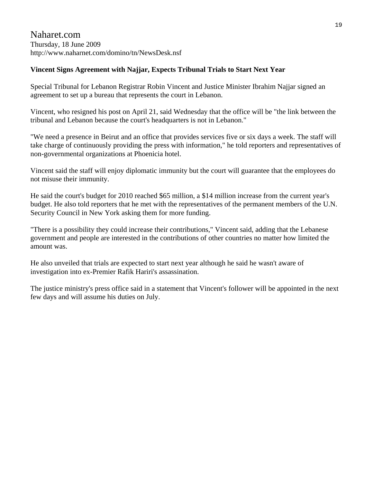Naharet.com Thursday, 18 June 2009 http://www.naharnet.com/domino/tn/NewsDesk.nsf

# **Vincent Signs Agreement with Najjar, Expects Tribunal Trials to Start Next Year**

Special Tribunal for Lebanon Registrar Robin Vincent and Justice Minister Ibrahim Najjar signed an agreement to set up a bureau that represents the court in Lebanon.

Vincent, who resigned his post on April 21, said Wednesday that the office will be "the link between the tribunal and Lebanon because the court's headquarters is not in Lebanon."

"We need a presence in Beirut and an office that provides services five or six days a week. The staff will take charge of continuously providing the press with information," he told reporters and representatives of non-governmental organizations at Phoenicia hotel.

Vincent said the staff will enjoy diplomatic immunity but the court will guarantee that the employees do not misuse their immunity.

He said the court's budget for 2010 reached \$65 million, a \$14 million increase from the current year's budget. He also told reporters that he met with the representatives of the permanent members of the U.N. Security Council in New York asking them for more funding.

"There is a possibility they could increase their contributions," Vincent said, adding that the Lebanese government and people are interested in the contributions of other countries no matter how limited the amount was.

He also unveiled that trials are expected to start next year although he said he wasn't aware of investigation into ex-Premier Rafik Hariri's assassination.

The justice ministry's press office said in a statement that Vincent's follower will be appointed in the next few days and will assume his duties on July.